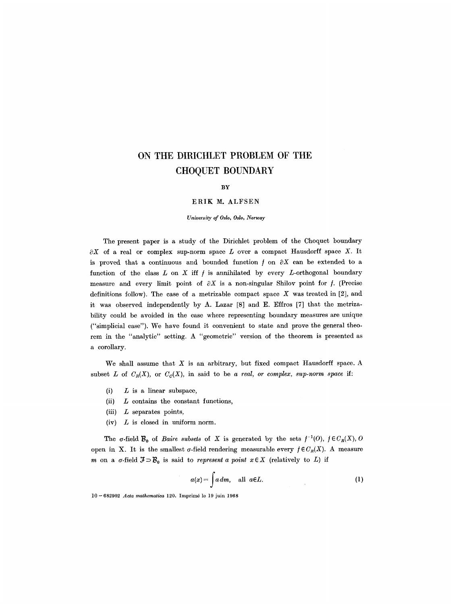# **ON THE DIRICHLET PROBLEM OF THE CHOQUET BOUNDARY**

#### **BY**

## ERIK M. ALFSEN

*University of Oslo, Oslo, Norway* 

The present paper is a study of the Dirichlet problem of the Choquet boundary  $\partial X$  of a real or complex sup-norm space L over a compact Hausdorff space X. It is proved that a continuous and bounded function  $f$  on  $\partial X$  can be extended to a function of the class  $L$  on  $X$  iff  $f$  is annihilated by every  $L$ -orthogonal boundary measure and every limit point of  $\partial X$  is a non-singular Shilov point for f. (Precise definitions follow). The case of a metrizable compact space  $X$  was treated in [2], and it was observed independently by A. Lazar [8] and E. Effros [7] that the metrizability could be avoided in the case where representing boundary measures are unique ("simplicial case"). We have found it convenient to state and prove the general theorem in the "analytic" setting. A "geometric" version of the theorem is presented as a corollary.

We shall assume that  $X$  is an arbitrary, but fixed compact Hausdorff space. A subset L of  $C_R(X)$ , or  $C_C(X)$ , in said to be a real, or complex, sup-norm space if:

- $(i)$  L is a linear subspace,
- (ii)  $L$  contains the constant functions,
- (iii)  $L$  separates points,
- $(iv)$  L is closed in uniform norm.

The  $\sigma$ -field  $\mathcal{B}_{0}$  of *Baire subsets* of X is generated by the sets  $f^{-1}(0)$ ,  $f \in C_{R}(X)$ , 0 open in X. It is the smallest  $\sigma$ -field rendering measurable every  $f \in C_R(X)$ . A measure m on a  $\sigma$ -field  $\mathcal{F} \supset \mathcal{B}_0$  is said to *represent a point*  $x \in X$  (relatively to L) if

$$
a(x) = \int a \, dm, \quad \text{all } a \in L. \tag{1}
$$

10- 682902 *Acta mathematica* 120. Imprim6 le 19 juin 1968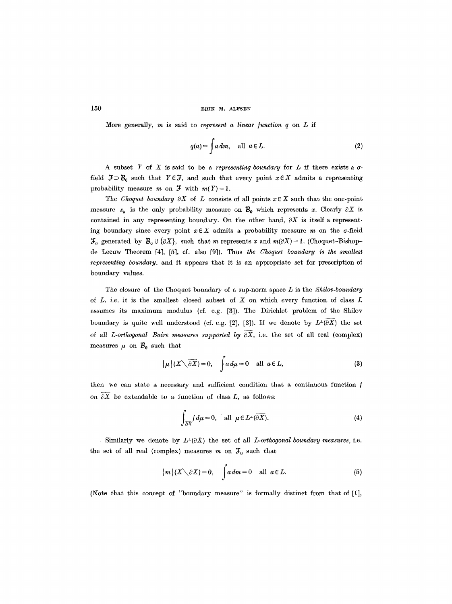## $150$  ERIK M. ALFSEN

More generally,  $m$  is said to *represent a linear function*  $q$  on  $L$  if

$$
q(a) = \int a \, dm, \quad \text{all } a \in L. \tag{2}
$$

A subset Y of X is said to be a *representing boundary* for  $L$  if there exists a  $\sigma$ field  $\mathcal{F} \supset \mathcal{B}_0$  such that  $Y \in \mathcal{F}$ , and such that every point  $x \in X$  admits a representing probability measure m on  $\mathfrak{F}$  with  $m(Y) = 1$ .

The *Choquet boundary*  $\partial X$  of L consists of all points  $x \in X$  such that the one-point measure  $\varepsilon_y$  is the only probability measure on  $\mathcal{B}_0$  which represents x. Clearly  $\partial X$  is contained in any representing boundary. On the other hand,  $\partial X$  is itself a representing boundary since every point  $x \in X$  admits a probability measure m on the  $\sigma$ -field  $\mathcal{F}_0$  generated by  $\mathcal{B}_0 \cup \{\partial X\}$ , such that m represents x and  $m(\partial X) = 1$ . (Choquet-Bishopde Leeuw Theorem [4], [5], cf. also [9]). Thus *the Choquet boundary is the smallest representing boundary,* and it appears that it is an appropriate set for prescription of boundary values.

The closure of the Choquet boundary of a sup-norm space L is the *Shilov-boundary*  of  $L$ , i.e. it is the smallest closed subset of  $X$  on which every function of class  $L$ assumes its maximum modulus (cf. e.g. [3]). The Dirichlet problem of the Shilov boundary is quite well understood (cf. e.g. [2], [3]). If we denote by  $L^{\perp}(\widetilde{eX})$  the set of all *L-orthogonal Baire measures supported by*  $\overline{\partial X}$ , i.e. the set of all real (complex) measures  $\mu$  on  $B_0$  such that

$$
|\mu|(X\setminus \overline{\partial X})=0, \quad \int a d\mu=0 \quad \text{all } a\in L,
$$
 (3)

then we can state a necessary and sufficient condition that a continuous function  $f$ on  $\partial X$  be extendable to a function of class L, as follows:

$$
\int_{\partial \overline{X}} f d\mu = 0, \text{ all } \mu \in L^{\perp}(\partial \overline{X}).
$$
 (4)

Similarly we denote by  $L^{\perp}(\partial X)$  the set of all *L*-orthogonal boundary measures, i.e. the set of all real (complex) measures m on  $\mathcal{F}_0$  such that

$$
|m|(X\setminus \partial X)=0, \quad \int a\,dm=0 \quad \text{all } a\in L. \tag{5}
$$

(Note that this concept of "boundary measure" is formally distinct from that of [1],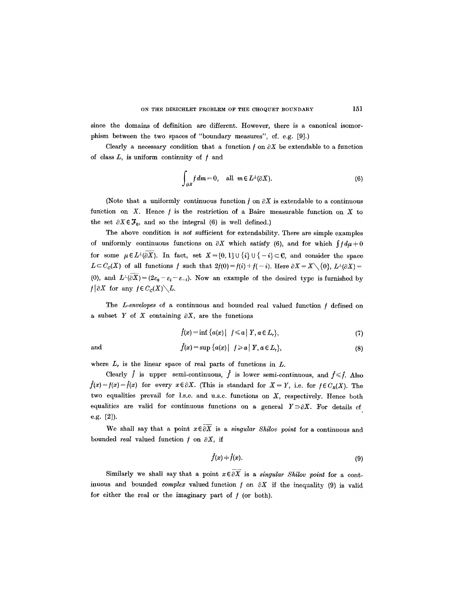since the domains of definition are different. However, there is a canonical isomorphism between the two spaces of "boundary measures", cf. e.g. [9].)

Clearly a necessary condition that a function  $f$  on  $\partial X$  be extendable to a function of class  $L$ , is uniform continuity of  $f$  and

$$
\int_{\partial X} f dm = 0, \quad \text{all } m \in L^{\perp}(\partial X). \tag{6}
$$

(Note that a uniformly continuous function  $f$  on  $\partial X$  is extendable to a continuous function on X. Hence  $f$  is the restriction of a Baire measurable function on X to the set  $\partial X \in \mathcal{F}_0$ , and so the integral (6) is well defined.)

The above condition is *not* sufficient for extendability. There are simple examples of uniformly continuous functions on  $\partial X$  which satisfy (6), and for which  $\int f d\mu + 0$ for some  $\mu \in L^{\perp}(\partial X)$ . In fact, set  $X = [0, 1] \cup \{i\} \cup \{-i\} \subset \mathbb{C}$ , and consider the space  $L \subset C_c(X)$  of all functions f such that  $2f(0) = f(i) + f(-i)$ . Here  $\partial X = X \setminus \{0\}$ ,  $L^{\perp}(\partial X) =$ (0), and  $L^{\perp}(\partial \overline{X}) = (2\varepsilon_0 - \varepsilon_i - \varepsilon_{-i}).$  Now an example of the desired type is furnished by  $f\vert \partial X$  for any  $f\in C_c(X)\backslash L$ .

The *L*-envelopes of a continuous and bounded real valued function f defined on a subset Y of X containing  $\partial X$ , are the functions

$$
\hat{f}(x) = \inf \{ a(x) | f \leq a | Y, a \in L_r \},\tag{7}
$$

and 
$$
f(x) = \sup \{a(x) | f \ge a | Y, a \in L_r\},\tag{8}
$$

where  $L_r$  is the linear space of real parts of functions in  $L$ .

Clearly  $\hat{f}$  is upper semi-continuous,  $\hat{f}$  is lower semi-continuous, and  $\hat{f} \leq \hat{f}$ . Also  $\dot{f}(x) = f(x) = \hat{f}(x)$  for every  $x \in \partial X$ . (This is standard for  $X = Y$ , i.e. for  $f \in C_R(X)$ . The two equalities prevail for 1.s,c. and u.s.c, functions on X, respectively. Hence both equalities are valid for continuous functions on a general  $Y \supset \partial X$ . For details of e.g. [2]).

We shall say that a point  $x \in \overline{\partial X}$  is a *singular Shilov point* for a continuous and bounded *real* valued function  $f$  on  $\partial X$ , if

$$
\tilde{f}(x) = \hat{f}(x). \tag{9}
$$

Similarly we shall say that a point  $x \in \overline{\partial X}$  is a *singular Shilov point* for a continuous and bounded *complex* valued function  $f$  on  $\partial X$  if the inequality (9) is valid for either the real or the imaginary part of  $f$  (or both).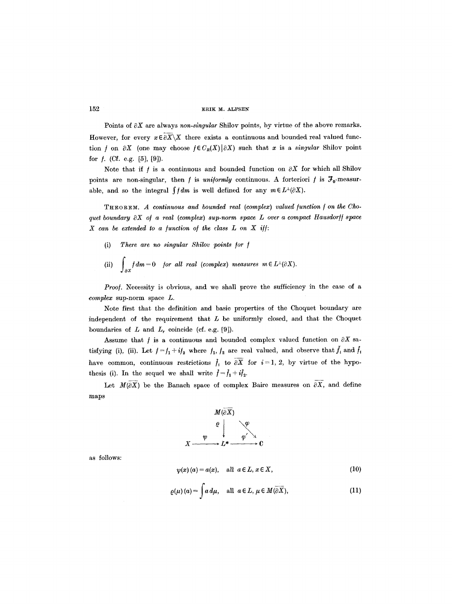Points of  $\partial X$  are always *non-singular* Shilov points, by virtue of the above remarks. However, for every  $x \in \partial \overline{X} \backslash X$  there exists a continuous and bounded real valued function f on  $\partial X$  (one may choose  $f \in C_R(X)|\partial X$ ) such that x is a *singular* Shilov point for  $f.$  (Cf. e.g. [5], [9]).

Note that if f is a continuous and bounded function on  $\partial X$  for which all Shilov points are non-singular, then f is *uniformly* continuous. A forteriori f is  $\mathcal{F}_0$ -measurable, and so the integral  $\int f dm$  is well defined for any  $m \in L^{\perp}(\partial X)$ .

THEOREM. A continuous and bounded real (complex) valued function f on the Cho*quet boundary*  $\partial X$  *of a real (complex) sup-norm space L over a compact Hausdorff space*  $X$  can be extended to a function of the class  $L$  on  $X$  iff:

- (i) *There are no singular Shilov points for 1*
- (ii)  $\int_{\partial X} f dm = 0$  *for all real (complex) measures m*  $\in L^{\perp}(\partial X)$ .

Proof. Necessity is obvious, and we shall prove the sufficiency in the case of a *complex* sup-norm space L.

Note first that the definition and basic properties of the Choquet boundary are independent of the requirement that  $L$  be uniformly closed, and that the Choquet boundaries of  $L$  and  $L_r$  coincide (cf. e.g. [9]).

Assume that  $f$  is a continuous and bounded complex valued function on  $\partial X$  satisfying (i), (ii). Let  $f = f_1 + i f_2$  where  $f_1, f_2$  are real valued, and observe that  $f_i$  and  $f_i$ have common, continuous restrictions  $\tilde{f}_i$  to  $\overline{\partial X}$  for  $i = 1, 2$ , by virtue of the hypothesis (i). In the sequel we shall write  $\hat{f} = \hat{f}_1 + i \hat{f}_2$ .

Let  $M(\partial X)$  be the Banach space of complex Baire measures on  $\partial X$ , and define maps



as follows:

$$
\psi(x)(a) = a(x), \quad \text{all} \ \ a \in L, \ x \in X,
$$
\n<sup>(10)</sup>

$$
\varrho(\mu)(a) = \int a \, d\mu, \quad \text{all } \ a \in L, \ \mu \in M(\overline{\partial X}), \tag{11}
$$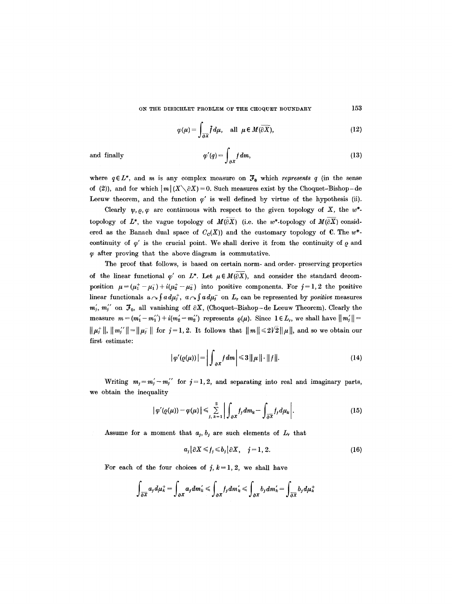$$
\varphi(\mu) = \int_{\overline{\partial X}} \overline{f} \, d\mu, \quad \text{all } \mu \in M(\overline{\partial X}), \tag{12}
$$

and finally 
$$
\varphi'(q) = \int_{\partial X} f dm,
$$
 (13)

where  $q \in L^*$ , and m is any complex measure on  $\mathcal{F}_0$  which *represents* q (in the sense of (2)), and for which  $|m|(X\setminus\partial X)=0$ . Such measures exist by the Choquet-Bishop-de Leeuw theorem, and the function  $\varphi'$  is well defined by virtue of the hypothesis (ii).

Clearly  $\psi$ ,  $\rho$ ,  $\varphi$  are continuous with respect to the given topology of X, the w<sup>\*</sup>topology of  $L^*$ , the vague topology of  $M(\overline{\partial X})$  (i.e. the w\*-topology of  $M(\overline{\partial X})$  considered as the Banach dual space of  $C_c(X)$ ) and the customary topology of C. The w<sup>\*</sup>continuity of  $\varphi'$  is the crucial point. We shall derive it from the continuity of  $\varrho$  and  $\varphi$  after proving that the above diagram is commutative.

The proof that follows, is based on certain norm- and order- preserving properties of the linear functional  $\varphi'$  on  $L^*$ . Let  $\mu \in M(\partial \overline{X})$ , and consider the standard decomposition  $\mu = (\mu_1^+ - \mu_1^-) + i(\mu_2^+ - \mu_2^-)$  into positive components. For  $j = 1, 2$  the positive linear functionals  $a \sim \int a d\mu^+_i$ ,  $a \sim \int a d\mu^-_i$  on  $L$ , can be represented by *positive* measures  $m'_j$ ,  $m''_j$  on  $\mathcal{F}_0$ , all vanishing off  $\partial X$ , (Choquet-Bishop-de Leeuw Theorem). Clearly the measure  $m = (m_1' - m_1'') + i(m_2' - m_2')$  represents  $\varrho(\mu)$ . Since  $1 \in L_r$ , we shall have  $||m_j'|| =$  $\|\mu_j^+\|, \|m_j^{\prime\prime}\| = \|\mu_j^-\|$  for  $j=1, 2$ . It follows that  $\|m\| \leq 2\sqrt{2} \|\mu\|$ , and so we obtain our first estimate:

$$
|\varphi'(\varrho(\mu))| = \left| \int_{\partial X} f \, dm \right| \leq 3 \left| \left| \mu \right| \right| \cdot \left| \left| f \right| \right| \tag{14}
$$

Writing  $m_j = m'_j - m''_j$  for  $j = 1, 2$ , and separating into real and imaginary parts, we obtain the inequality

$$
\left|\varphi'(Q(\mu))-\varphi(\mu)\right|\leqslant \sum_{j,\,k=1}^2\left|\int_{\partial X}f_jdm_k-\int_{\overline{\partial X}}f_jd\mu_k\right|.\tag{15}
$$

Assume for a moment that  $a_j$ ,  $b_j$  are such elements of  $L_r$  that

$$
a_j\big|\partial X\leq f_j\leq b_j\big|\partial X,\quad j=1,\,2.\tag{16}
$$

For each of the four choices of  $j, k = 1, 2$ , we shall have

$$
\int_{\partial \overline{X}} a_j d\mu_{k}^+ = \int_{\partial X} a_j d m'_k \leqslant \int_{\partial X} f_j d m'_k \leqslant \int_{\partial X} b_j d m'_k = \int_{\partial \overline{X}} b_j d \mu_{k}^+
$$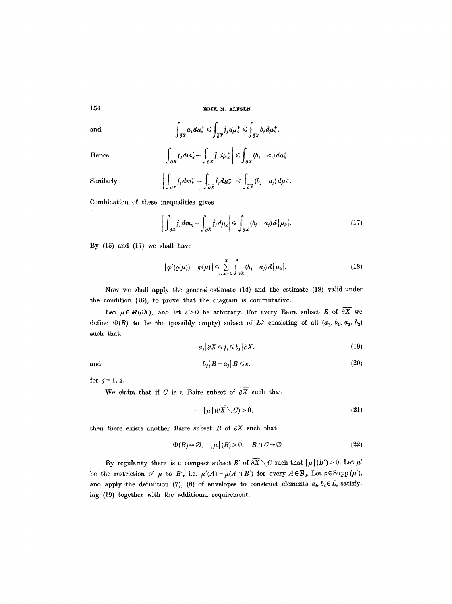and 
$$
\int_{\partial \overline{x}} a_j d\mu_k^+ \leq \int_{\partial \overline{x}} \overline{f}_j d\mu_k^+ \leq \int_{\partial \overline{x}} b_j d\mu_k^+.
$$

Hence

$$
\left|\int_{\partial X} f_j dm'_k - \int_{\partial \overline{X}} f_j d\mu_k^+\right| \leq \int_{\partial \overline{X}} (b_j - a_j) d\mu_k^+.
$$

Similarly 
$$
\left|\int_{\partial X} f_j dm_k^{\prime\prime} - \int_{\overline{\partial X}} \overline{f_j} d\mu_k^-\right| \leq \int_{\overline{\partial X}} (b_j - a_j) d\mu_k^-\,.
$$

Combination of these inequalities gives

$$
\left| \int_{\partial X} f_j dm_k - \int_{\partial \overline{X}} \overline{f_j} d\mu_k \right| \leq \int_{\partial \overline{X}} (b_j - a_j) d \, |\mu_k|.
$$
 (17)

By (15) and (17) we shall have

$$
\left|\varphi'(\varrho(\mu))-\varphi(\mu)\right|\leqslant \sum_{j,\,k=1}^2\int_{\partial\overline{X}}\left(b_j-a_j\right)d\,\mu_k\,.
$$
 (18)

Now we shall apply the general estimate (14) and the estimate (18) valid under the condition (16), to prove that the diagram is commutative.

Let  $\mu \in M(\partial X)$ , and let  $\varepsilon > 0$  be arbitrary. For every Baire subset B of  $\partial \overline{X}$  we define  $\Phi(B)$  to be the (possibly empty) subset of  $L_t^4$  consisting of all  $(a_1, b_1, a_2, b_2)$ such that:

$$
a_j \big| \partial X \leqslant f_j \leqslant b_j \big| \partial X,\tag{19}
$$

and

$$
b_j | B - a_j | B \le \varepsilon,\tag{20}
$$

for  $j=1, 2$ .

We claim that if C is a Baire subset of  $\partial \overline{X}$  such that

$$
|\mu|(\partial \overline{X} \setminus C) > 0, \tag{21}
$$

then there exists another Baire subset B of  $\partial \overline{X}$  such that

$$
\Phi(B) \neq \emptyset, \quad |\mu|(B) > 0, \quad B \cap C = \emptyset \tag{22}
$$

By regularity there is a compact subset B' of  $\partial \overline{X} \setminus C$  such that  $|\mu|(B') > 0$ . Let  $\mu'$ be the restriction of  $\mu$  to B', i.e.  $\mu'(A) = \mu(A \cap B')$  for every  $A \in \mathcal{B}_0$ . Let  $z \in \text{Supp}(\mu')$ , and apply the definition (7), (8) of envelopes to construct elements  $a_i, b_i \in L_r$  satisfying (19) together with the additional requirement: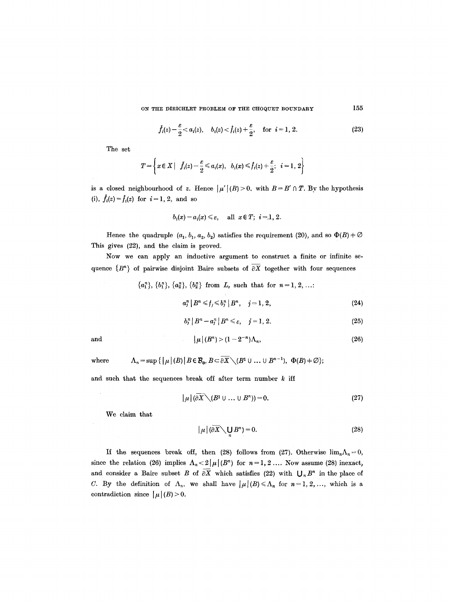ON THE DIRICHLET PROBLEM OF THE CHOQUET BOUNDARY

$$
\check{f}_i(z) - \frac{\varepsilon}{2} < a_i(z), \quad b_i(z) < \hat{f}_i(z) + \frac{\varepsilon}{2}, \quad \text{for} \quad i = 1, 2. \tag{23}
$$

The set

$$
T=\left\{x\in X\left|\ \ f_{i}(z)-\frac{\varepsilon}{2}\leqslant a_{i}(x),\hspace{0.2cm} b_{i}(x)\leqslant\widehat{f}_{i}(z)+\frac{\varepsilon}{2};\hspace{0.2cm} i=1,\,2\right\}
$$

is a closed neighbourhood of z. Hence  $|\mu'(B) > 0$ , with  $B = B' \cap T$ . By the hypothesis (i),  $f_i(z) = f_i(z)$  for  $i = 1, 2$ , and so

$$
b_i(x)-a_i(x)\leqslant \varepsilon, \quad \text{ all } x\in T; \ i=1, 2.
$$

Hence the quadruple  $(a_1, b_1, a_2, b_2)$  satisfies the requirement (20), and so  $\Phi(B) \neq \emptyset$ This gives (22), and the claim is proved.

Now we can apply an inductive argument to construct a finite or infinite sequence  $\{B^n\}$  of pairwise disjoint Baire subsets of  $\overline{\partial X}$  together with four sequences

 $\{a_1^n\}, \{b_1^n\}, \{a_2^n\}, \{b_2^n\}$  from  $L_r$  such that for  $n=1, 2, ...$ :

$$
a_j^n | B^n \leqslant f_j \leqslant b_j^n | B^n, \quad j = 1, 2,
$$
\n(24)

$$
b_j^n | B^n - a_j^n | B^n \leqslant \varepsilon, \quad j = 1, 2. \tag{25}
$$

and 
$$
\mu|(B^n) > (1-2^{-n})\Lambda_n, \qquad (26)
$$

where 
$$
\Lambda_n = \sup \{ |\mu|(B) | B \in \mathcal{B}_0, B \subset \partial X \setminus (B^1 \cup ... \cup B^{n-1}), \Phi(B) \neq \emptyset \};
$$

and such that the sequences break off after term number  $k$  iff

$$
|\mu| (\partial X \setminus (B^1 \cup \ldots \cup B^n)) = 0. \tag{27}
$$

We claim that

$$
|\mu| \left(\partial \overline{X} \diagdown \bigcup_{n} B^{n}\right) = 0. \tag{28}
$$

If the sequences break off, then (28) follows from (27). Otherwise  $\lim_{n} \Lambda_n = 0$ , since the relation (26) implies  $\Lambda_n < 2|\mu|(B^n)$  for  $n=1, 2, \ldots$  Now assume (28) inexact, and consider a Baire subset B of  $\partial \overline{X}$  which satisfies (22) with  $\bigcup_n B^n$  in the place of C. By the definition of  $\Lambda_n$ , we shall have  $|\mu|(B) \le \Lambda_n$  for  $n=1, 2, \ldots$ , which is a contradiction since  $|\mu|(B) > 0$ .

155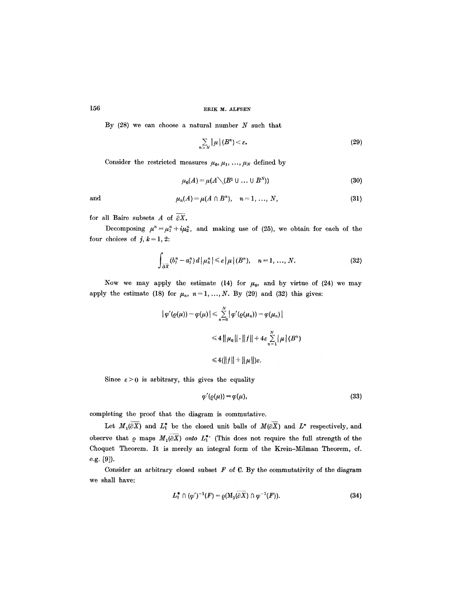## 156 **ERIK M. ALFSEN**

By  $(28)$  we can choose a natural number  $N$  such that

$$
\sum_{n\geq N}|\mu|(B^n)<\varepsilon.
$$
 (29)

Consider the restricted measures  $\mu_0, \mu_1, \ldots, \mu_N$  defined by

$$
\mu_0(A) = \mu(A \setminus (B^1 \cup \dots \cup B^N))
$$
\n(30)

$$
\quad \text{and} \quad
$$

and 
$$
\mu_n(A) = \mu(A \cap B^n), \quad n = 1, ..., N,
$$
 (31)

for all Baire subsets A of  $\overline{\partial X}$ .

Decomposing  $\mu^n = \mu_1^n + i\mu_2^n$ , and making use of (25), we obtain for each of the four choices of  $j, k = 1, 2$ :

$$
\int_{\partial \overline{X}} \langle b_i^n - a_j^n \rangle d\left| \mu_k^n \right| \leq \varepsilon \left| \mu \right| \langle B^n \rangle, \quad n = 1, \dots, N. \tag{32}
$$

Now we may apply the estimate (14) for  $\mu_0$ , and by virtue of (24) we may apply the estimate (18) for  $\mu_n$ ,  $n=1, ..., N$ . By (29) and (32) this gives:

$$
|\varphi'(Q(\mu)) - \varphi(\mu)| \leq \sum_{n=0}^{N} |\varphi'(Q(\mu_n)) - \varphi(\mu_n)|
$$
  

$$
\leq 4 ||\mu_0|| \cdot ||f|| + 4\varepsilon \sum_{n=1}^{N} |\mu|(B^n)
$$
  

$$
\leq 4(||f|| + ||\mu||)\varepsilon.
$$

Since  $\varepsilon > 0$  is arbitrary, this gives the equality

$$
\varphi'(\varrho(\mu)) = \varphi(\mu),\tag{33}
$$

completing the proof that the diagram is commutative.

Let  $M_1(\partial X)$  and  $L^*$  be the closed unit balls of  $M(\partial X)$  and  $L^*$  respectively, and observe that  $\rho$  maps  $M_1(\partial \overline{X})$  onto  $L_1^*$  (This does not require the full strength of the Choquet Theorem. It is merely an integral form of the Krein-Milman Theorem, cf. e.g. [9]).

Consider an arbitrary closed subset  $F$  of  $C$ . By the commutativity of the diagram we shall have:

$$
L_1^* \cap (\varphi')^{-1}(F) = \varrho(M_1(\partial X) \cap \varphi^{-1}(F)). \tag{34}
$$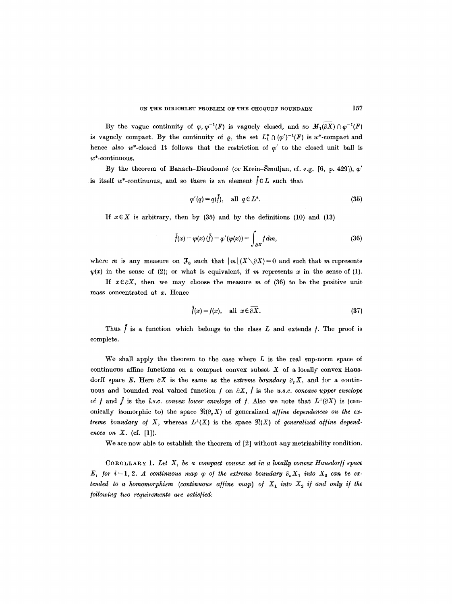By the vague continuity of  $\varphi, \varphi^{-1}(F)$  is vaguely closed, and so  $M_1(\partial X) \cap \varphi^{-1}(F)$ is vaguely compact. By the continuity of  $\rho$ , the set  $L^*_1 \cap (\varphi')^{-1}(F)$  is  $w^*$ -compact and hence also w\*-closed It follows that the restriction of  $\varphi'$  to the closed unit ball is w\*-continuous.

By the theorem of Banach-Dieudonné (or Krein-Šmuljan, cf. e.g. [6, p. 429]),  $\varphi'$ is itself w\*-continuous, and so there is an element  $\tilde{f} \in L$  such that

$$
\varphi'(q) = q(\tilde{f}), \quad \text{all } q \in L^*.
$$
\n(35)

If  $x \in X$  is arbitrary, then by (35) and by the definitions (10) and (13)

$$
\tilde{f}(x) = \psi(x) (\tilde{f}) = \varphi'(\psi(x)) = \int_{\partial X} f dm,
$$
\n(36)

where *m* is any measure on  $\mathcal{F}_0$  such that  $|m|(X\setminus\partial X)=0$  and such that *m* represents  $\not\psi(x)$  in the sense of (2); or what is equivalent, if m represents x in the sense of (1).

If  $x \in \partial X$ , then we may choose the measure m of (36) to be the positive unit mass concentrated at x. Hence

$$
\tilde{f}(x) = f(x), \quad \text{all } x \in \overline{\partial X}.
$$
 (37)

Thus  $\tilde{f}$  is a function which belongs to the class L and extends f. The proof is complete.

We shall apply the theorem to the case where  $L$  is the real sup-norm space of continuous affine functions on a compact convex subset  $X$  of a locally convex Hausdorff space E. Here  $\partial X$  is the same as the *extreme boundary*  $\partial_{\varphi} X$ , and for a continuous and bounded real valued function  $f$  on  $\partial X$ ,  $\hat{f}$  is the *u.s.c. concave upper envelope* of f and f is the *l.s.c. convex lower envelope* of f. Also we note that  $L^{\perp}(\partial X)$  is (canonically isomorphic to) the space  $\Re(\partial_e X)$  of generalized *affine dependences on the extreme boundary of X,* whereas  $L^{\perp}(X)$  is the space  $\mathfrak{N}(X)$  of *generalized affine dependences on X.* (cf. [1]).

We are now able to establish the theorem of [2] without any metrizability condition.

COROLLARY 1. Let  $X_i$  be a compact convex set in a locally convex Hausdorff space  $E_i$  for  $i=1, 2$ . A continuous map  $\varphi$  of the extreme boundary  $\partial_e X_1$  into  $X_2$  can be ex*tended to a homomorphism (continuous affine map) of*  $X_1$  *into*  $X_2$  *if and only if the /ollowing two requirements are saris]led:*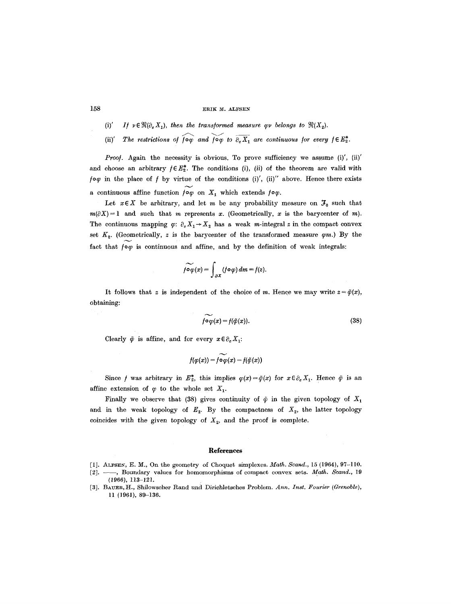### 158 ERIK M. ALFSEN

- (i)' *If*  $\nu \in \mathfrak{N}(\partial_e X_1)$ , then the transformed measure  $\varphi \nu$  belongs to  $\mathfrak{N}(X_2)$ .
- (ii)' The restrictions of  $\overline{f} \circ \overline{\varphi}$  and  $\overline{f} \circ \overline{\varphi}$  to  $\overline{\partial_e X_1}$  are continuous for every  $f \in E_2^*$ .

Proof. Again the necessity is obvious. To prove sufficiency we assume (i)', (ii)' and choose an arbitrary  $f \in E_2^*$ . The conditions (i), (ii) of the theorem are valid with  $/~$ o $\varphi$  in the place of  $f$  by virtue of the conditions (i)', (ii)" above. Hence there exists a continuous affine function  $f \circ \varphi$  on  $X_1$  which extends  $f \circ \varphi$ .

Let  $x \in X$  be arbitrary, and let m be any probability measure on  $\mathcal{F}_0$  such that  $m(\partial X) = 1$  and such that m represents x. (Geometrically, x is the barycenter of m). The continuous mapping  $\varphi: \partial_e X_1 \rightarrow X_2$  has a weak m-integral z in the compact convex set  $K_2$ . (Geometrically, z is the barycenter of the transformed measure  $\varphi m$ .) By the fact that  $f \circ \varphi$  is continuous and affine, and by the definition of weak integrals:

$$
\widetilde{f\circ\varphi}(x)=\int_{\partial X}(f\circ\varphi)\,dm=f(z).
$$

It follows that z is independent of the choice of m. Hence we may write  $z = \tilde{\varphi}(x)$ , obtaining:

$$
\widetilde{f \circ \varphi}(x) = f(\widetilde{\varphi}(x)). \tag{38}
$$

Clearly  $\tilde{\varphi}$  is affine, and for every  $x \in \partial_e X_1$ :

$$
f(\varphi(x)) = f \widetilde{\circ \varphi}(x) = f(\widetilde{\varphi}(x))
$$

Since *f* was arbitrary in  $E_2^*$ , this implies  $\varphi(x)=\tilde{\varphi}(x)$  for  $x \in \partial_e X_1$ . Hence  $\tilde{\varphi}$  is an affine extension of  $\varphi$  to the whole set  $X_1$ .

Finally we observe that (38) gives continuity of  $\tilde{\varphi}$  in the given topology of  $X_1$ and in the weak topology of  $E_2$ . By the compactness of  $X_2$ , the latter topology coincides with the given topology of  $X_2$ , and the proof is complete.

#### **References**

[1]. ALFSEN, E. M., On the geometry of Choquet simplexes. *Math. Scand.*, 15 (1964), 97-110.

<sup>[2]. --,</sup> Boundary values for homomorphisms of compact convex sets. *Math. Scand.*, 19 (1966), 113-121.

<sup>[3].</sup> BAUER, H., Shilowscher Rand und Dirichletsches Problem. Ann. Inst. Fourier (Grenoble), ll (1961), 89-136.